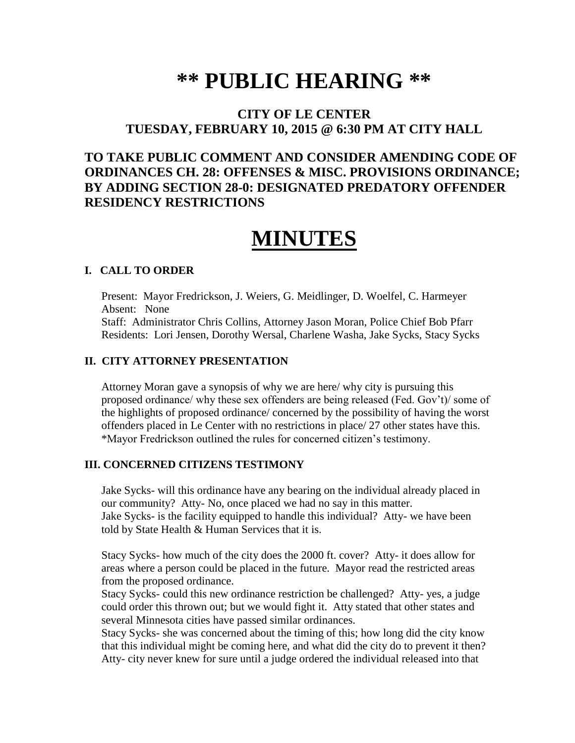# **\*\* PUBLIC HEARING \*\***

## **CITY OF LE CENTER TUESDAY, FEBRUARY 10, 2015 @ 6:30 PM AT CITY HALL**

## **TO TAKE PUBLIC COMMENT AND CONSIDER AMENDING CODE OF ORDINANCES CH. 28: OFFENSES & MISC. PROVISIONS ORDINANCE; BY ADDING SECTION 28-0: DESIGNATED PREDATORY OFFENDER RESIDENCY RESTRICTIONS**

## **MINUTES**

#### **I. CALL TO ORDER**

Present: Mayor Fredrickson, J. Weiers, G. Meidlinger, D. Woelfel, C. Harmeyer Absent: None Staff: Administrator Chris Collins, Attorney Jason Moran, Police Chief Bob Pfarr Residents: Lori Jensen, Dorothy Wersal, Charlene Washa, Jake Sycks, Stacy Sycks

#### **II. CITY ATTORNEY PRESENTATION**

Attorney Moran gave a synopsis of why we are here/ why city is pursuing this proposed ordinance/ why these sex offenders are being released (Fed. Gov't)/ some of the highlights of proposed ordinance/ concerned by the possibility of having the worst offenders placed in Le Center with no restrictions in place/ 27 other states have this. \*Mayor Fredrickson outlined the rules for concerned citizen's testimony.

#### **III. CONCERNED CITIZENS TESTIMONY**

Jake Sycks- will this ordinance have any bearing on the individual already placed in our community? Atty- No, once placed we had no say in this matter. Jake Sycks- is the facility equipped to handle this individual? Atty- we have been told by State Health & Human Services that it is.

 Stacy Sycks- how much of the city does the 2000 ft. cover? Atty- it does allow for areas where a person could be placed in the future. Mayor read the restricted areas from the proposed ordinance.

 Stacy Sycks- could this new ordinance restriction be challenged? Atty- yes, a judge could order this thrown out; but we would fight it. Atty stated that other states and several Minnesota cities have passed similar ordinances.

 Stacy Sycks- she was concerned about the timing of this; how long did the city know that this individual might be coming here, and what did the city do to prevent it then? Atty- city never knew for sure until a judge ordered the individual released into that